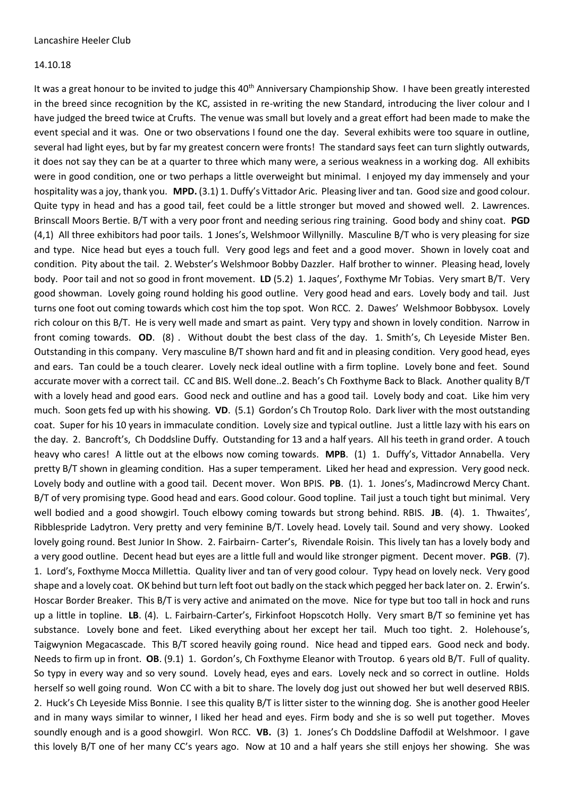## 14.10.18

It was a great honour to be invited to judge this 40<sup>th</sup> Anniversary Championship Show. I have been greatly interested in the breed since recognition by the KC, assisted in re-writing the new Standard, introducing the liver colour and I have judged the breed twice at Crufts. The venue was small but lovely and a great effort had been made to make the event special and it was. One or two observations I found one the day. Several exhibits were too square in outline, several had light eyes, but by far my greatest concern were fronts! The standard says feet can turn slightly outwards, it does not say they can be at a quarter to three which many were, a serious weakness in a working dog. All exhibits were in good condition, one or two perhaps a little overweight but minimal. I enjoyed my day immensely and your hospitality was a joy, thank you. **MPD.** (3.1) 1. Duffy's Vittador Aric. Pleasing liver and tan. Good size and good colour. Quite typy in head and has a good tail, feet could be a little stronger but moved and showed well. 2. Lawrences. Brinscall Moors Bertie. B/T with a very poor front and needing serious ring training. Good body and shiny coat. **PGD** (4,1) All three exhibitors had poor tails. 1 Jones's, Welshmoor Willynilly. Masculine B/T who is very pleasing for size and type. Nice head but eyes a touch full. Very good legs and feet and a good mover. Shown in lovely coat and condition. Pity about the tail. 2. Webster's Welshmoor Bobby Dazzler. Half brother to winner. Pleasing head, lovely body. Poor tail and not so good in front movement. **LD** (5.2) 1. Jaques', Foxthyme Mr Tobias. Very smart B/T. Very good showman. Lovely going round holding his good outline. Very good head and ears. Lovely body and tail. Just turns one foot out coming towards which cost him the top spot. Won RCC. 2. Dawes' Welshmoor Bobbysox. Lovely rich colour on this B/T. He is very well made and smart as paint. Very typy and shown in lovely condition. Narrow in front coming towards. **OD**. (8) . Without doubt the best class of the day. 1. Smith's, Ch Leyeside Mister Ben. Outstanding in this company. Very masculine B/T shown hard and fit and in pleasing condition. Very good head, eyes and ears. Tan could be a touch clearer. Lovely neck ideal outline with a firm topline. Lovely bone and feet. Sound accurate mover with a correct tail. CC and BIS. Well done..2. Beach's Ch Foxthyme Back to Black. Another quality B/T with a lovely head and good ears. Good neck and outline and has a good tail. Lovely body and coat. Like him very much. Soon gets fed up with his showing. **VD**. (5.1) Gordon's Ch Troutop Rolo. Dark liver with the most outstanding coat. Super for his 10 years in immaculate condition. Lovely size and typical outline. Just a little lazy with his ears on the day. 2. Bancroft's, Ch Doddsline Duffy. Outstanding for 13 and a half years. All his teeth in grand order. A touch heavy who cares! A little out at the elbows now coming towards. **MPB**. (1) 1. Duffy's, Vittador Annabella. Very pretty B/T shown in gleaming condition. Has a super temperament. Liked her head and expression. Very good neck. Lovely body and outline with a good tail. Decent mover. Won BPIS. **PB**. (1). 1. Jones's, Madincrowd Mercy Chant. B/T of very promising type. Good head and ears. Good colour. Good topline. Tail just a touch tight but minimal. Very well bodied and a good showgirl. Touch elbowy coming towards but strong behind. RBIS. **JB**. (4). 1. Thwaites', Ribblespride Ladytron. Very pretty and very feminine B/T. Lovely head. Lovely tail. Sound and very showy. Looked lovely going round. Best Junior In Show. 2. Fairbairn- Carter's, Rivendale Roisin. This lively tan has a lovely body and a very good outline. Decent head but eyes are a little full and would like stronger pigment. Decent mover. **PGB**. (7). 1. Lord's, Foxthyme Mocca Millettia. Quality liver and tan of very good colour. Typy head on lovely neck. Very good shape and a lovely coat. OK behind but turn left foot out badly on the stack which pegged her back later on. 2. Erwin's. Hoscar Border Breaker. This B/T is very active and animated on the move. Nice for type but too tall in hock and runs up a little in topline. **LB**. (4). L. Fairbairn-Carter's, Firkinfoot Hopscotch Holly. Very smart B/T so feminine yet has substance. Lovely bone and feet. Liked everything about her except her tail. Much too tight. 2. Holehouse's, Taigwynion Megacascade. This B/T scored heavily going round. Nice head and tipped ears. Good neck and body. Needs to firm up in front. **OB**. (9.1) 1. Gordon's, Ch Foxthyme Eleanor with Troutop. 6 years old B/T. Full of quality. So typy in every way and so very sound. Lovely head, eyes and ears. Lovely neck and so correct in outline. Holds herself so well going round. Won CC with a bit to share. The lovely dog just out showed her but well deserved RBIS. 2. Huck's Ch Leyeside Miss Bonnie. I see this quality B/T is litter sister to the winning dog. She is another good Heeler and in many ways similar to winner, I liked her head and eyes. Firm body and she is so well put together. Moves soundly enough and is a good showgirl. Won RCC. **VB.** (3) 1. Jones's Ch Doddsline Daffodil at Welshmoor. I gave this lovely B/T one of her many CC's years ago. Now at 10 and a half years she still enjoys her showing. She was